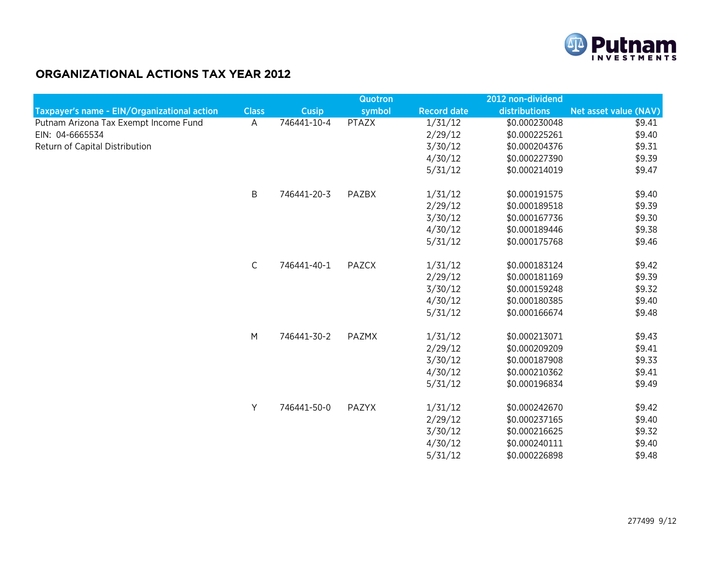

## ORGANIZATIONAL ACTIONS TAX YEAR 2012

|                                             |              |              | Quotron      |                    | 2012 non-dividend |                              |
|---------------------------------------------|--------------|--------------|--------------|--------------------|-------------------|------------------------------|
| Taxpayer's name - EIN/Organizational action | <b>Class</b> | <b>Cusip</b> | symbol       | <b>Record date</b> | distributions     | <b>Net asset value (NAV)</b> |
| Putnam Arizona Tax Exempt Income Fund       | A            | 746441-10-4  | <b>PTAZX</b> | 1/31/12            | \$0.000230048     | \$9.41                       |
| EIN: 04-6665534                             |              |              |              | 2/29/12            | \$0.000225261     | \$9.40                       |
| Return of Capital Distribution              |              |              |              | 3/30/12            | \$0.000204376     | \$9.31                       |
|                                             |              |              |              | 4/30/12            | \$0.000227390     | \$9.39                       |
|                                             |              |              |              | 5/31/12            | \$0.000214019     | \$9.47                       |
|                                             | B            | 746441-20-3  | PAZBX        | 1/31/12            | \$0.000191575     | \$9.40                       |
|                                             |              |              |              | 2/29/12            | \$0.000189518     | \$9.39                       |
|                                             |              |              |              | 3/30/12            | \$0.000167736     | \$9.30                       |
|                                             |              |              |              | 4/30/12            | \$0.000189446     | \$9.38                       |
|                                             |              |              |              | 5/31/12            | \$0.000175768     | \$9.46                       |
|                                             | $\mathsf{C}$ | 746441-40-1  | PAZCX        | 1/31/12            | \$0.000183124     | \$9.42                       |
|                                             |              |              |              | 2/29/12            | \$0.000181169     | \$9.39                       |
|                                             |              |              |              | 3/30/12            | \$0.000159248     | \$9.32                       |
|                                             |              |              |              | 4/30/12            | \$0.000180385     | \$9.40                       |
|                                             |              |              |              | 5/31/12            | \$0.000166674     | \$9.48                       |
|                                             | M            | 746441-30-2  | PAZMX        | 1/31/12            | \$0.000213071     | \$9.43                       |
|                                             |              |              |              | 2/29/12            | \$0.000209209     | \$9.41                       |
|                                             |              |              |              | 3/30/12            | \$0.000187908     | \$9.33                       |
|                                             |              |              |              | 4/30/12            | \$0.000210362     | \$9.41                       |
|                                             |              |              |              | 5/31/12            | \$0.000196834     | \$9.49                       |
|                                             | Y            | 746441-50-0  | PAZYX        | 1/31/12            | \$0.000242670     | \$9.42                       |
|                                             |              |              |              | 2/29/12            | \$0.000237165     | \$9.40                       |
|                                             |              |              |              | 3/30/12            | \$0.000216625     | \$9.32                       |
|                                             |              |              |              | 4/30/12            | \$0.000240111     | \$9.40                       |
|                                             |              |              |              | 5/31/12            | \$0.000226898     | \$9.48                       |